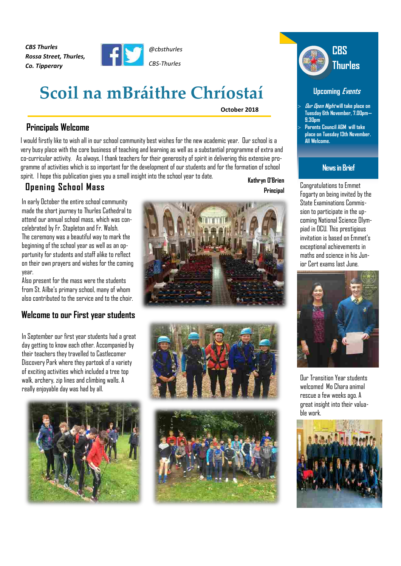*CBS Thurles Rossa Street, Thurles, Co. Tipperary*



# **Scoil na mBráithre Chríostaí**

**October 2018**

# **Principals Welcome**

I would firstly like to wish all in our school community best wishes for the new academic year. Our school is a very busy place with the core business of teaching and learning as well as a substantial programme of extra and co-curricular activity. As always, I thank teachers for their generosity of spirit in delivering this extensive programme of activities which is so important for the development of our students and for the formation of school spirit. I hope this publication gives you a small insight into the school year to date.

# **Opening School Mass**

**Kathryn O'Brien Principal**

In early October the entire school community made the short journey to Thurles Cathedral to attend our annual school mass, which was concelebrated by Fr. Stapletonand Fr. Walsh. The ceremony was a beautiful way to mark the beginning of the school year as well as an opportunity for students andstaff alike to reflect on their own prayers and wishes for the coming year.

Also present for the mass were the students from St. Ailbe's primaryschool, many of whom also contributed to the service and to the choir.

# **Welcome to our First year students**

In September our first year students had a great day getting to know each other. Accompanied by their teachers they travelled to Castlecomer Discovery Park where they partook of a variety of exciting activities which included a tree top walk, archery, zip lines and climbing walls. A really enjoyable day was had by all.











### **Upcoming Events**

 **Our Open Night will take place on Tuesday 6th November, 7.00pm— 9.30pm Parents Council AGM will take place on Tuesday13th November. All Welcome.**

# **Newsin Brief**

Congratulations to Emmet Fogarty on being invited by the State Examinations Commission to participate in the upcoming National Science Olympiad in DCU. This prestigious invitation is based on Emmet's exceptionalachievements in maths and science in his Junior Cert exams last June.



Our TransitionYear students welcomed Mo Chara animal rescue a few weeks ago. A great insight into their valuable work.

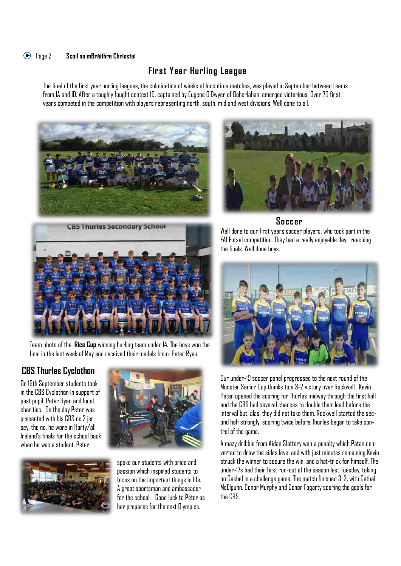# Page2 **Scoil na mBráithre Chríostaí**

# **First Year Hurling League**

The final of the first year hurling leagues, the culminationof weeks of lunchtime matches, was played in September between teams from 1A and 1D. After a toughly fought contest 1D, captained by Eugene O'Dwyer of Boherlahan, emerged victorious. Over 70 first years competed in the competition with players representing north, south, midand west divisions. Well done to all.





### **Soccer**



Team photo of the **Rice Cup** winning hurling team under 14. The boys won the final in the last week of May and received their medals from Peter Ryan.

# **CBS Thurles Cyclothon**

On 19th September students took in the CBS Cyclothon in support of past pupil Peter Ryan and local charities. On the day Peter was presented with his CBS no.2 jersey, the no. he wore in Harty/all Ireland's finals for the school back when he was a student. Peter





spoke our students with pride and passion which inspired students to focus on the important things in life. A great sportsman and ambassador for the school. Good luck to Peter as her prepares for the next Olympics.

Well done to our first years soccer players, who took part in the FAI Futsalcompetition. They had a really enjoyable day, reaching the finals. Well done boys.



Our under-19 soccer panel progressedto the next round of the Munster Senior Cup thanks to a 3-2 victory over Rockwell . Kevin Patan opened the scoring for Thurles midway through the first half and the CBS had several chances to double their lead before the interval but, alas, they did not take them. Rockwell started the second half strongly, scoring twice before Thurles began to take control of the game.

A mazy dribble from Aidan Slattery won a penalty which Patan converted to draw the sides level and with just minutes remaining Kevin struck the winner to secure the win, and a hat-trick for himself. The under-17s had their first run-out of the season last Tuesday, taking on Cashel in a challenge game. The match finished 3-3, with Cathal McElgunn, Conor Murphy and Conor Fogarty scoring the goals for the CBS.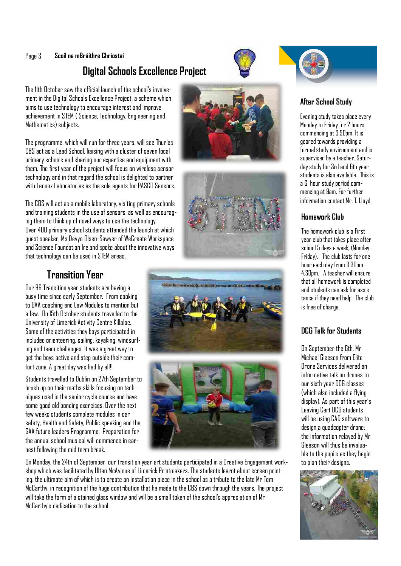#### Page 3 **Scoil na mBráithre Chríostaí**

# **Digital Schools Excellence Project**

The 11th October saw the official launch of the school's involvement in the Digital Schools Excellence Project, a scheme which aims to use technology to encourage interest and improve achievement in STEM ( Science, Technology, Engineering and Mathematics) subjects.

The programme, which will run for three years, will see Thurles CBS act as a Lead School, liaising with a cluster of seven local primary schools and sharing our expertiseand equipment with them. The first year of the project will focus on wireless sensor technology and in that regard the school is delighted to partner with Lennox Laboratories as the sole agents for PASCO Sensors.

The CBS will act as a mobile laboratory, visiting primary schools and trainingstudents in the use of sensors, as well as encouraging them to think up of novel ways to use the technology. Over 400 primary school students attended the launch at which guest speaker, Ms Devyn Olsen-Sawyer of WeCreate Workspace and Science Foundation Ireland spoke about the innovative ways that technology can be used in STEM areas.

# **Transition Year**

Our 96 Transition year students are having a busy time since early September. From cooking to GAA coaching and Law Modules to mention but a few. On 15th October students travelled to the University of Limerick Activity Centre Killaloe. Some of the activities they boys participated in included orienteering, sailing, kayaking, windsurfing and team challenges. It was a great way to get the boys active andstep outside their comfort zone. A great day was had by all!!

Students travelled to Dublin on 27th September to brush up on their maths skills focusing on techniques used in the senior cycle course and have some good old bonding exercises. Over the next few weeks students complete modules in car safety, Health and Safety, Public speaking and the GAA future leaders Programme. Preparation for the annual school musical will commence in earnest following the mid term break.

On Monday, the24th of September, our transition year art students participated in a Creative Engagement workshop which was facilitatedby Ultan McAvinue of Limerick Printmakers. The students learnt about screenprinting, the ultimate aim of which is to create an installation piece in the school as a tribute to the late Mr Tom McCarthy, in recognition of the huge contributionthat he made to the CBS down through the years. The project will take the form of a stained glass window and will be a small token of theschool's appreciation of Mr McCarthy's dedication to the school.













### **After School Study**

Evening study takes place every Monday to Friday for 2 hours commencingat 3.50pm. It is geared towards providinga formalstudyenvironmentandis supervised by a teacher. Saturdaystudy for 3rdand 6th year students is also available. This is a 6 hourstudyperiod commencingat 9am. For further information contact Mr. T. Lloyd.

### **Homework Club**

The homework club is a First year club that takes place after school 5 days a week, (Monday— Friday). The club lasts for one hour eachday from 3.30pm— 4.30pm. A teacher willensure thatallhomework is completed and students can ask for assistance if they need help. The club is free of charge.

### **DCG Talk for Students**

On September the 6th, Mr Michael Gleeson from Elite Drone Services deliveredan informative talk on drones to our sixth year DCG classes (which also included a flying display). As part of this year's Leaving Cert DCG students will be using CAD software to design a quadcopter drone: the information relayed by Mr Gleeson will thus be invaluable to the pupils as they begin to plan their designs.